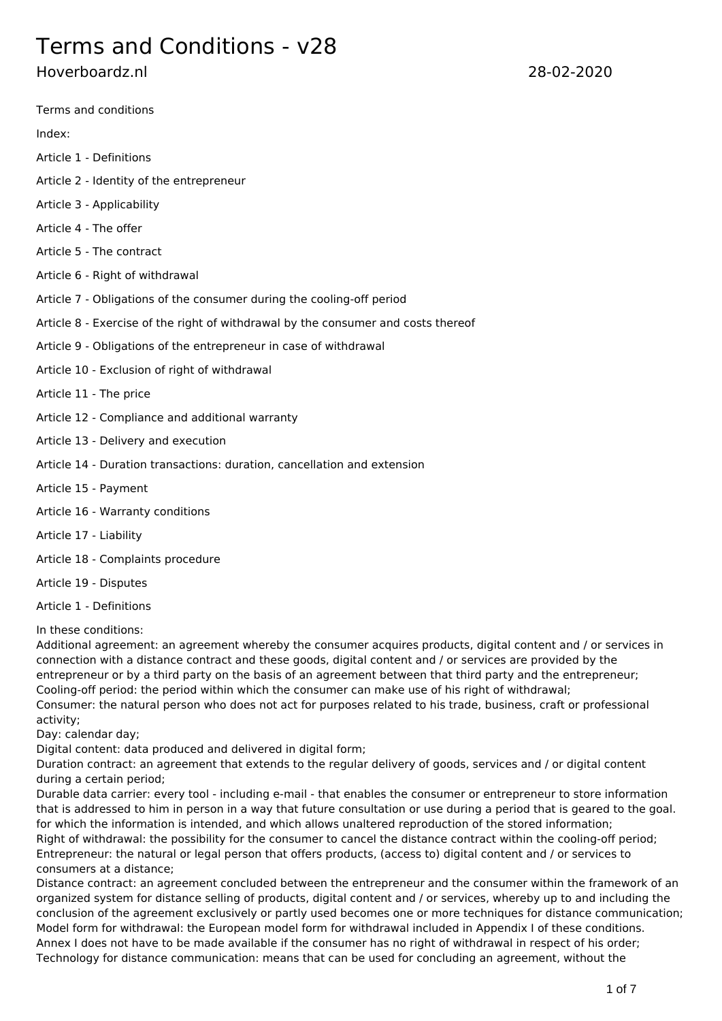# Terms and Conditions - v28

# Hoverboardz.nl 28-02-2020

Terms and conditions

Index:

- Article 1 Definitions
- Article 2 Identity of the entrepreneur
- Article 3 Applicability
- Article 4 The offer
- Article 5 The contract
- Article 6 Right of withdrawal
- Article 7 Obligations of the consumer during the cooling-off period
- Article 8 Exercise of the right of withdrawal by the consumer and costs thereof
- Article 9 Obligations of the entrepreneur in case of withdrawal
- Article 10 Exclusion of right of withdrawal
- Article 11 The price
- Article 12 Compliance and additional warranty
- Article 13 Delivery and execution
- Article 14 Duration transactions: duration, cancellation and extension
- Article 15 Payment
- Article 16 Warranty conditions
- Article 17 Liability
- Article 18 Complaints procedure
- Article 19 Disputes
- Article 1 Definitions

In these conditions:

Additional agreement: an agreement whereby the consumer acquires products, digital content and / or services in connection with a distance contract and these goods, digital content and / or services are provided by the entrepreneur or by a third party on the basis of an agreement between that third party and the entrepreneur; Cooling-off period: the period within which the consumer can make use of his right of withdrawal; Consumer: the natural person who does not act for purposes related to his trade, business, craft or professional activity;

Day: calendar day;

Digital content: data produced and delivered in digital form;

Duration contract: an agreement that extends to the regular delivery of goods, services and / or digital content during a certain period;

Durable data carrier: every tool - including e-mail - that enables the consumer or entrepreneur to store information that is addressed to him in person in a way that future consultation or use during a period that is geared to the goal. for which the information is intended, and which allows unaltered reproduction of the stored information; Right of withdrawal: the possibility for the consumer to cancel the distance contract within the cooling-off period; Entrepreneur: the natural or legal person that offers products, (access to) digital content and / or services to consumers at a distance;

Distance contract: an agreement concluded between the entrepreneur and the consumer within the framework of an organized system for distance selling of products, digital content and / or services, whereby up to and including the conclusion of the agreement exclusively or partly used becomes one or more techniques for distance communication; Model form for withdrawal: the European model form for withdrawal included in Appendix I of these conditions. Annex I does not have to be made available if the consumer has no right of withdrawal in respect of his order; Technology for distance communication: means that can be used for concluding an agreement, without the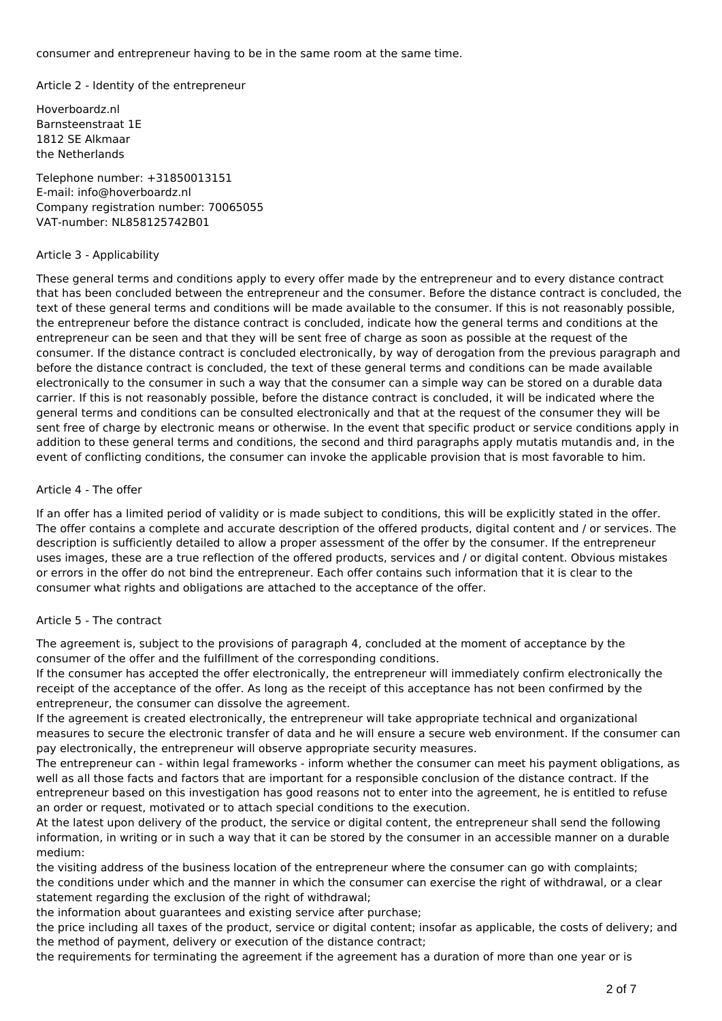consumer and entrepreneur having to be in the same room at the same time.

Article 2 - Identity of the entrepreneur

Hoverboardz.nl Barnsteenstraat 1E 1812 SE Alkmaar the Netherlands

Telephone number: +31850013151 E-mail: info@hoverboardz.nl Company registration number: 
70065055 VAT-number: NL858125742B01

#### Article 3 - Applicability

These general terms and conditions apply to every offer made by the entrepreneur and to every distance contract that has been concluded between the entrepreneur and the consumer. Before the distance contract is concluded, the text of these general terms and conditions will be made available to the consumer. If this is not reasonably possible, the entrepreneur before the distance contract is concluded, indicate how the general terms and conditions at the entrepreneur can be seen and that they will be sent free of charge as soon as possible at the request of the consumer. If the distance contract is concluded electronically, by way of derogation from the previous paragraph and before the distance contract is concluded, the text of these general terms and conditions can be made available electronically to the consumer in such a way that the consumer can a simple way can be stored on a durable data carrier. If this is not reasonably possible, before the distance contract is concluded, it will be indicated where the general terms and conditions can be consulted electronically and that at the request of the consumer they will be sent free of charge by electronic means or otherwise. In the event that specific product or service conditions apply in addition to these general terms and conditions, the second and third paragraphs apply mutatis mutandis and, in the event of conflicting conditions, the consumer can invoke the applicable provision that is most favorable to him.

#### Article 4 - The offer

If an offer has a limited period of validity or is made subject to conditions, this will be explicitly stated in the offer. The offer contains a complete and accurate description of the offered products, digital content and / or services. The description is sufficiently detailed to allow a proper assessment of the offer by the consumer. If the entrepreneur uses images, these are a true reflection of the offered products, services and / or digital content. Obvious mistakes or errors in the offer do not bind the entrepreneur. Each offer contains such information that it is clear to the consumer what rights and obligations are attached to the acceptance of the offer.

# Article 5 - The contract

The agreement is, subject to the provisions of paragraph 4, concluded at the moment of acceptance by the consumer of the offer and the fulfillment of the corresponding conditions.

If the consumer has accepted the offer electronically, the entrepreneur will immediately confirm electronically the receipt of the acceptance of the offer. As long as the receipt of this acceptance has not been confirmed by the entrepreneur, the consumer can dissolve the agreement.

If the agreement is created electronically, the entrepreneur will take appropriate technical and organizational measures to secure the electronic transfer of data and he will ensure a secure web environment. If the consumer can pay electronically, the entrepreneur will observe appropriate security measures.

The entrepreneur can - within legal frameworks - inform whether the consumer can meet his payment obligations, as well as all those facts and factors that are important for a responsible conclusion of the distance contract. If the entrepreneur based on this investigation has good reasons not to enter into the agreement, he is entitled to refuse an order or request, motivated or to attach special conditions to the execution.

At the latest upon delivery of the product, the service or digital content, the entrepreneur shall send the following information, in writing or in such a way that it can be stored by the consumer in an accessible manner on a durable medium:

the visiting address of the business location of the entrepreneur where the consumer can go with complaints; the conditions under which and the manner in which the consumer can exercise the right of withdrawal, or a clear statement regarding the exclusion of the right of withdrawal;

the information about guarantees and existing service after purchase;

the price including all taxes of the product, service or digital content; insofar as applicable, the costs of delivery; and the method of payment, delivery or execution of the distance contract;

the requirements for terminating the agreement if the agreement has a duration of more than one year or is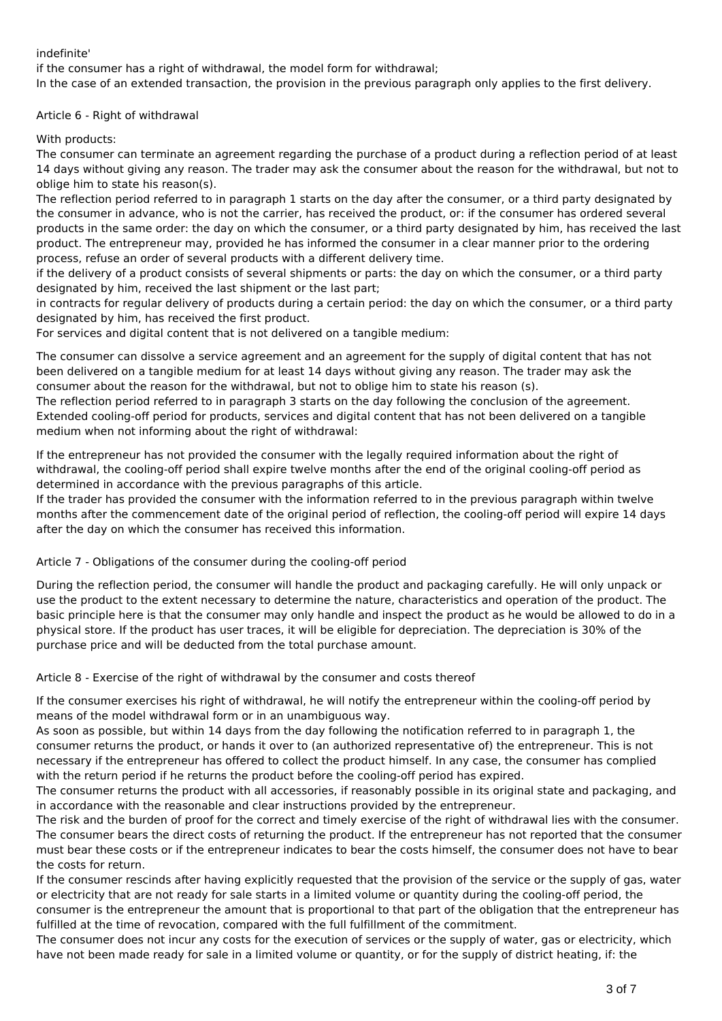# indefinite'

if the consumer has a right of withdrawal, the model form for withdrawal;

In the case of an extended transaction, the provision in the previous paragraph only applies to the first delivery.

Article 6 - Right of withdrawal

With products:

The consumer can terminate an agreement regarding the purchase of a product during a reflection period of at least 14 days without giving any reason. The trader may ask the consumer about the reason for the withdrawal, but not to oblige him to state his reason(s).

The reflection period referred to in paragraph 1 starts on the day after the consumer, or a third party designated by the consumer in advance, who is not the carrier, has received the product, or: if the consumer has ordered several products in the same order: the day on which the consumer, or a third party designated by him, has received the last product. The entrepreneur may, provided he has informed the consumer in a clear manner prior to the ordering process, refuse an order of several products with a different delivery time.

if the delivery of a product consists of several shipments or parts: the day on which the consumer, or a third party designated by him, received the last shipment or the last part;

in contracts for regular delivery of products during a certain period: the day on which the consumer, or a third party designated by him, has received the first product.

For services and digital content that is not delivered on a tangible medium:

The consumer can dissolve a service agreement and an agreement for the supply of digital content that has not been delivered on a tangible medium for at least 14 days without giving any reason. The trader may ask the consumer about the reason for the withdrawal, but not to oblige him to state his reason (s).

The reflection period referred to in paragraph 3 starts on the day following the conclusion of the agreement. Extended cooling-off period for products, services and digital content that has not been delivered on a tangible medium when not informing about the right of withdrawal:

If the entrepreneur has not provided the consumer with the legally required information about the right of withdrawal, the cooling-off period shall expire twelve months after the end of the original cooling-off period as determined in accordance with the previous paragraphs of this article.

If the trader has provided the consumer with the information referred to in the previous paragraph within twelve months after the commencement date of the original period of reflection, the cooling-off period will expire 14 days after the day on which the consumer has received this information.

Article 7 - Obligations of the consumer during the cooling-off period

During the reflection period, the consumer will handle the product and packaging carefully. He will only unpack or use the product to the extent necessary to determine the nature, characteristics and operation of the product. The basic principle here is that the consumer may only handle and inspect the product as he would be allowed to do in a physical store. If the product has user traces, it will be eligible for depreciation. The depreciation is 30% of the purchase price and will be deducted from the total purchase amount.

Article 8 - Exercise of the right of withdrawal by the consumer and costs thereof

If the consumer exercises his right of withdrawal, he will notify the entrepreneur within the cooling-off period by means of the model withdrawal form or in an unambiguous way.

As soon as possible, but within 14 days from the day following the notification referred to in paragraph 1, the consumer returns the product, or hands it over to (an authorized representative of) the entrepreneur. This is not necessary if the entrepreneur has offered to collect the product himself. In any case, the consumer has complied with the return period if he returns the product before the cooling-off period has expired.

The consumer returns the product with all accessories, if reasonably possible in its original state and packaging, and in accordance with the reasonable and clear instructions provided by the entrepreneur.

The risk and the burden of proof for the correct and timely exercise of the right of withdrawal lies with the consumer. The consumer bears the direct costs of returning the product. If the entrepreneur has not reported that the consumer must bear these costs or if the entrepreneur indicates to bear the costs himself, the consumer does not have to bear the costs for return.

If the consumer rescinds after having explicitly requested that the provision of the service or the supply of gas, water or electricity that are not ready for sale starts in a limited volume or quantity during the cooling-off period, the consumer is the entrepreneur the amount that is proportional to that part of the obligation that the entrepreneur has

fulfilled at the time of revocation, compared with the full fulfillment of the commitment. The consumer does not incur any costs for the execution of services or the supply of water, gas or electricity, which have not been made ready for sale in a limited volume or quantity, or for the supply of district heating, if: the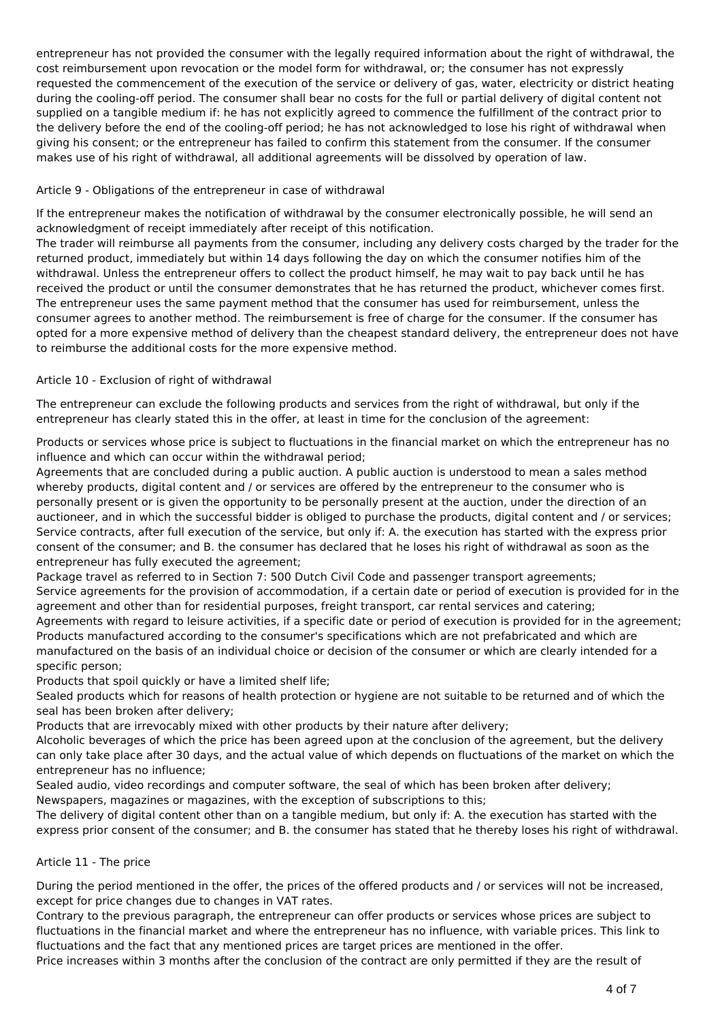entrepreneur has not provided the consumer with the legally required information about the right of withdrawal, the cost reimbursement upon revocation or the model form for withdrawal, or; the consumer has not expressly requested the commencement of the execution of the service or delivery of gas, water, electricity or district heating during the cooling-off period. The consumer shall bear no costs for the full or partial delivery of digital content not supplied on a tangible medium if: he has not explicitly agreed to commence the fulfillment of the contract prior to the delivery before the end of the cooling-off period; he has not acknowledged to lose his right of withdrawal when giving his consent; or the entrepreneur has failed to confirm this statement from the consumer. If the consumer makes use of his right of withdrawal, all additional agreements will be dissolved by operation of law.

# Article 9 - Obligations of the entrepreneur in case of withdrawal

If the entrepreneur makes the notification of withdrawal by the consumer electronically possible, he will send an acknowledgment of receipt immediately after receipt of this notification.

The trader will reimburse all payments from the consumer, including any delivery costs charged by the trader for the returned product, immediately but within 14 days following the day on which the consumer notifies him of the withdrawal. Unless the entrepreneur offers to collect the product himself, he may wait to pay back until he has received the product or until the consumer demonstrates that he has returned the product, whichever comes first. The entrepreneur uses the same payment method that the consumer has used for reimbursement, unless the consumer agrees to another method. The reimbursement is free of charge for the consumer. If the consumer has opted for a more expensive method of delivery than the cheapest standard delivery, the entrepreneur does not have to reimburse the additional costs for the more expensive method.

# Article 10 - Exclusion of right of withdrawal

The entrepreneur can exclude the following products and services from the right of withdrawal, but only if the entrepreneur has clearly stated this in the offer, at least in time for the conclusion of the agreement:

Products or services whose price is subject to fluctuations in the financial market on which the entrepreneur has no influence and which can occur within the withdrawal period;

Agreements that are concluded during a public auction. A public auction is understood to mean a sales method whereby products, digital content and / or services are offered by the entrepreneur to the consumer who is personally present or is given the opportunity to be personally present at the auction, under the direction of an auctioneer, and in which the successful bidder is obliged to purchase the products, digital content and / or services; Service contracts, after full execution of the service, but only if: A. the execution has started with the express prior consent of the consumer; and B. the consumer has declared that he loses his right of withdrawal as soon as the entrepreneur has fully executed the agreement;

Package travel as referred to in Section 7: 500 Dutch Civil Code and passenger transport agreements; Service agreements for the provision of accommodation, if a certain date or period of execution is provided for in the agreement and other than for residential purposes, freight transport, car rental services and catering; Agreements with regard to leisure activities, if a specific date or period of execution is provided for in the agreement; Products manufactured according to the consumer's specifications which are not prefabricated and which are manufactured on the basis of an individual choice or decision of the consumer or which are clearly intended for a specific person;

Products that spoil quickly or have a limited shelf life;

Sealed products which for reasons of health protection or hygiene are not suitable to be returned and of which the seal has been broken after delivery;

Products that are irrevocably mixed with other products by their nature after delivery;

Alcoholic beverages of which the price has been agreed upon at the conclusion of the agreement, but the delivery can only take place after 30 days, and the actual value of which depends on fluctuations of the market on which the entrepreneur has no influence;

Sealed audio, video recordings and computer software, the seal of which has been broken after delivery; Newspapers, magazines or magazines, with the exception of subscriptions to this;

The delivery of digital content other than on a tangible medium, but only if: A. the execution has started with the express prior consent of the consumer; and B. the consumer has stated that he thereby loses his right of withdrawal.

# Article 11 - The price

During the period mentioned in the offer, the prices of the offered products and / or services will not be increased, except for price changes due to changes in VAT rates.

Contrary to the previous paragraph, the entrepreneur can offer products or services whose prices are subject to fluctuations in the financial market and where the entrepreneur has no influence, with variable prices. This link to fluctuations and the fact that any mentioned prices are target prices are mentioned in the offer.

Price increases within 3 months after the conclusion of the contract are only permitted if they are the result of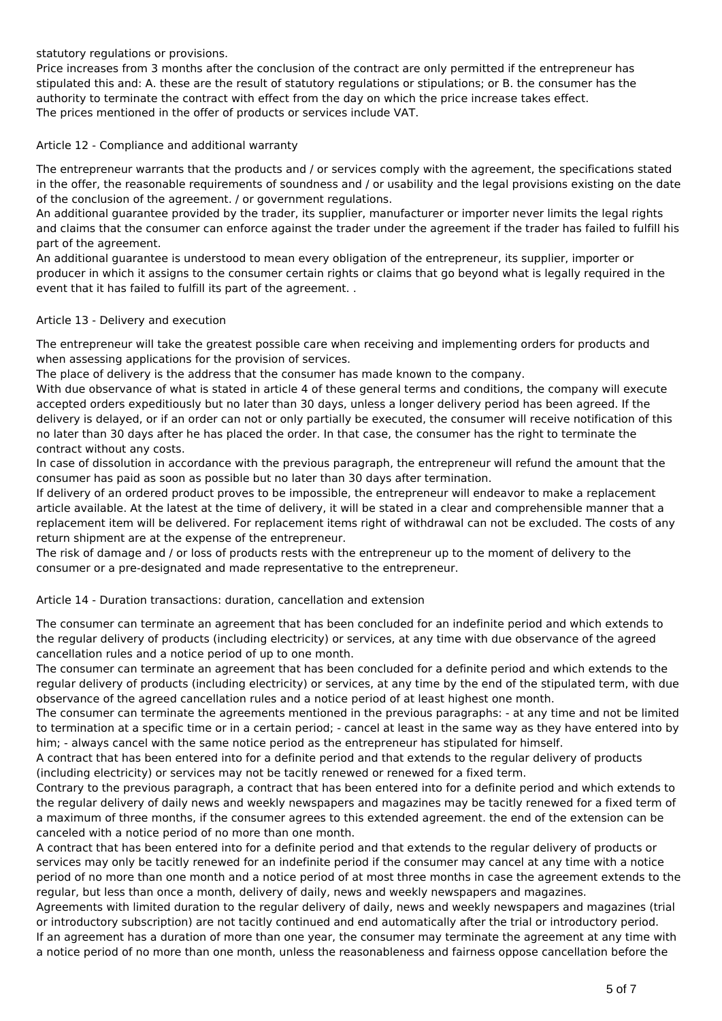statutory regulations or provisions.

Price increases from 3 months after the conclusion of the contract are only permitted if the entrepreneur has stipulated this and: A. these are the result of statutory regulations or stipulations; or B. the consumer has the authority to terminate the contract with effect from the day on which the price increase takes effect. The prices mentioned in the offer of products or services include VAT.

Article 12 - Compliance and additional warranty

The entrepreneur warrants that the products and / or services comply with the agreement, the specifications stated in the offer, the reasonable requirements of soundness and / or usability and the legal provisions existing on the date of the conclusion of the agreement. / or government regulations.

An additional guarantee provided by the trader, its supplier, manufacturer or importer never limits the legal rights and claims that the consumer can enforce against the trader under the agreement if the trader has failed to fulfill his part of the agreement.

An additional guarantee is understood to mean every obligation of the entrepreneur, its supplier, importer or producer in which it assigns to the consumer certain rights or claims that go beyond what is legally required in the event that it has failed to fulfill its part of the agreement. .

#### Article 13 - Delivery and execution

The entrepreneur will take the greatest possible care when receiving and implementing orders for products and when assessing applications for the provision of services.

The place of delivery is the address that the consumer has made known to the company.

With due observance of what is stated in article 4 of these general terms and conditions, the company will execute accepted orders expeditiously but no later than 30 days, unless a longer delivery period has been agreed. If the delivery is delayed, or if an order can not or only partially be executed, the consumer will receive notification of this no later than 30 days after he has placed the order. In that case, the consumer has the right to terminate the contract without any costs.

In case of dissolution in accordance with the previous paragraph, the entrepreneur will refund the amount that the consumer has paid as soon as possible but no later than 30 days after termination.

If delivery of an ordered product proves to be impossible, the entrepreneur will endeavor to make a replacement article available. At the latest at the time of delivery, it will be stated in a clear and comprehensible manner that a replacement item will be delivered. For replacement items right of withdrawal can not be excluded. The costs of any return shipment are at the expense of the entrepreneur.

The risk of damage and / or loss of products rests with the entrepreneur up to the moment of delivery to the consumer or a pre-designated and made representative to the entrepreneur.

Article 14 - Duration transactions: duration, cancellation and extension

The consumer can terminate an agreement that has been concluded for an indefinite period and which extends to the regular delivery of products (including electricity) or services, at any time with due observance of the agreed cancellation rules and a notice period of up to one month.

The consumer can terminate an agreement that has been concluded for a definite period and which extends to the regular delivery of products (including electricity) or services, at any time by the end of the stipulated term, with due observance of the agreed cancellation rules and a notice period of at least highest one month.

The consumer can terminate the agreements mentioned in the previous paragraphs: - at any time and not be limited to termination at a specific time or in a certain period; - cancel at least in the same way as they have entered into by him; - always cancel with the same notice period as the entrepreneur has stipulated for himself.

A contract that has been entered into for a definite period and that extends to the regular delivery of products (including electricity) or services may not be tacitly renewed or renewed for a fixed term.

Contrary to the previous paragraph, a contract that has been entered into for a definite period and which extends to the regular delivery of daily news and weekly newspapers and magazines may be tacitly renewed for a fixed term of a maximum of three months, if the consumer agrees to this extended agreement. the end of the extension can be canceled with a notice period of no more than one month.

A contract that has been entered into for a definite period and that extends to the regular delivery of products or services may only be tacitly renewed for an indefinite period if the consumer may cancel at any time with a notice period of no more than one month and a notice period of at most three months in case the agreement extends to the regular, but less than once a month, delivery of daily, news and weekly newspapers and magazines.

Agreements with limited duration to the regular delivery of daily, news and weekly newspapers and magazines (trial or introductory subscription) are not tacitly continued and end automatically after the trial or introductory period. If an agreement has a duration of more than one year, the consumer may terminate the agreement at any time with a notice period of no more than one month, unless the reasonableness and fairness oppose cancellation before the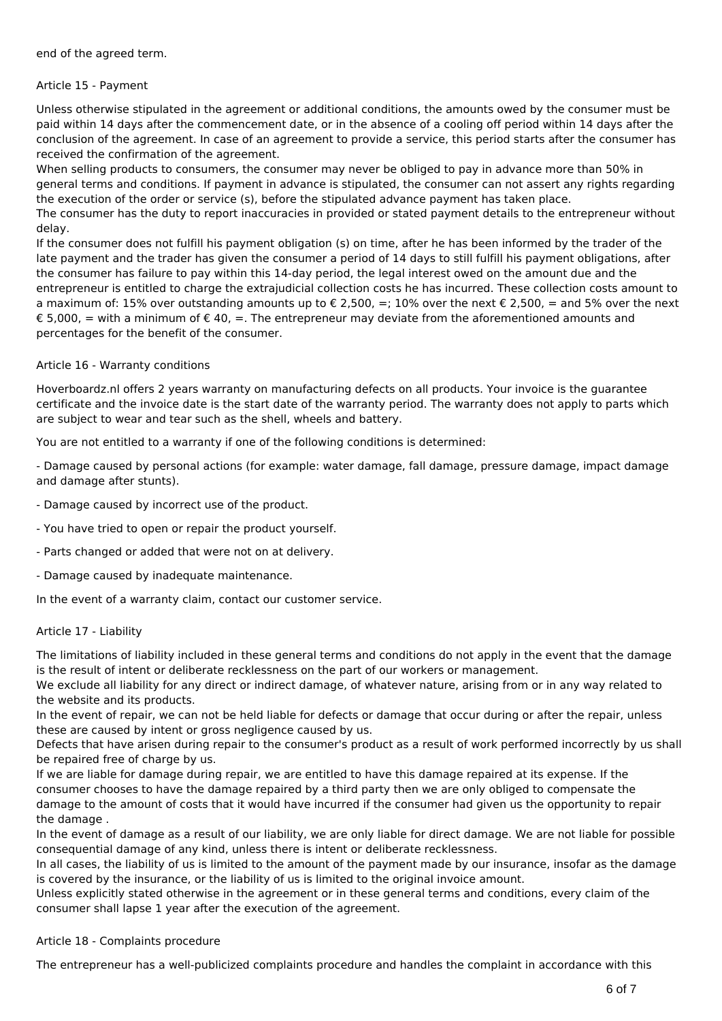end of the agreed term.

#### Article 15 - Payment

Unless otherwise stipulated in the agreement or additional conditions, the amounts owed by the consumer must be paid within 14 days after the commencement date, or in the absence of a cooling off period within 14 days after the conclusion of the agreement. In case of an agreement to provide a service, this period starts after the consumer has received the confirmation of the agreement.

When selling products to consumers, the consumer may never be obliged to pay in advance more than 50% in general terms and conditions. If payment in advance is stipulated, the consumer can not assert any rights regarding the execution of the order or service (s), before the stipulated advance payment has taken place.

The consumer has the duty to report inaccuracies in provided or stated payment details to the entrepreneur without delay.

If the consumer does not fulfill his payment obligation (s) on time, after he has been informed by the trader of the late payment and the trader has given the consumer a period of 14 days to still fulfill his payment obligations, after the consumer has failure to pay within this 14-day period, the legal interest owed on the amount due and the entrepreneur is entitled to charge the extrajudicial collection costs he has incurred. These collection costs amount to a maximum of: 15% over outstanding amounts up to  $\epsilon$  2.500, =: 10% over the next  $\epsilon$  2.500, = and 5% over the next € 5,000, = with a minimum of € 40, =. The entrepreneur may deviate from the aforementioned amounts and percentages for the benefit of the consumer.

# Article 16 - Warranty conditions

Hoverboardz.nl offers 2 years warranty on manufacturing defects on all products. Your invoice is the guarantee certificate and the invoice date is the start date of the warranty period. The warranty does not apply to parts which are subject to wear and tear such as the shell, wheels and battery.

You are not entitled to a warranty if one of the following conditions is determined:

- Damage caused by personal actions (for example: water damage, fall damage, pressure damage, impact damage and damage after stunts).

- Damage caused by incorrect use of the product.
- You have tried to open or repair the product yourself.
- Parts changed or added that were not on at delivery.
- Damage caused by inadequate maintenance.

In the event of a warranty claim, contact our customer service.

#### Article 17 - Liability

The limitations of liability included in these general terms and conditions do not apply in the event that the damage is the result of intent or deliberate recklessness on the part of our workers or management.

We exclude all liability for any direct or indirect damage, of whatever nature, arising from or in any way related to the website and its products.

In the event of repair, we can not be held liable for defects or damage that occur during or after the repair, unless these are caused by intent or gross negligence caused by us.

Defects that have arisen during repair to the consumer's product as a result of work performed incorrectly by us shall be repaired free of charge by us.

If we are liable for damage during repair, we are entitled to have this damage repaired at its expense. If the consumer chooses to have the damage repaired by a third party then we are only obliged to compensate the damage to the amount of costs that it would have incurred if the consumer had given us the opportunity to repair the damage .

In the event of damage as a result of our liability, we are only liable for direct damage. We are not liable for possible consequential damage of any kind, unless there is intent or deliberate recklessness.

In all cases, the liability of us is limited to the amount of the payment made by our insurance, insofar as the damage is covered by the insurance, or the liability of us is limited to the original invoice amount.

Unless explicitly stated otherwise in the agreement or in these general terms and conditions, every claim of the consumer shall lapse 1 year after the execution of the agreement.

#### Article 18 - Complaints procedure

The entrepreneur has a well-publicized complaints procedure and handles the complaint in accordance with this